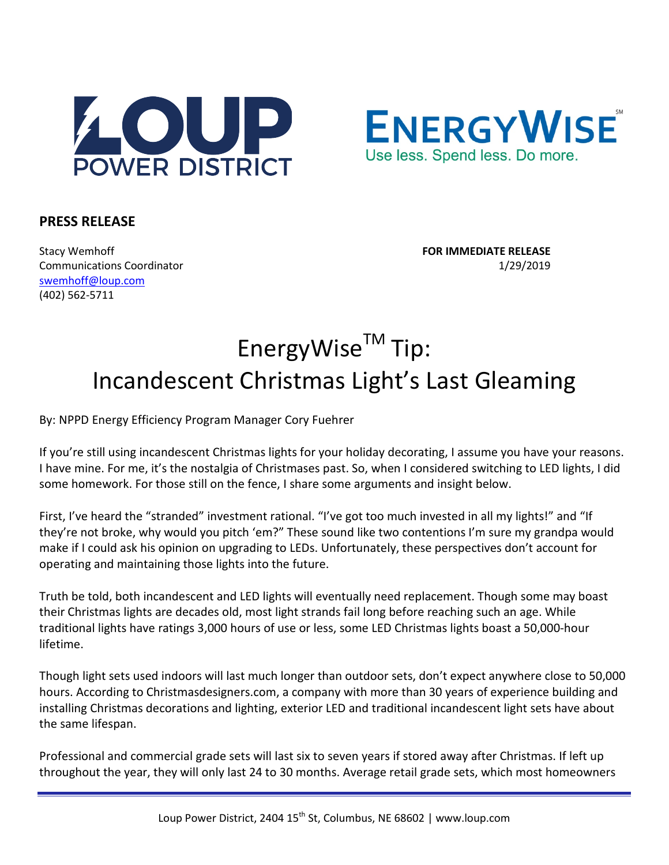



## **PRESS RELEASE**

Stacy Wemhoff **FOR IMMEDIATE RELEASE** Communications Coordinator 1/29/2019 [swemhoff@loup.com](mailto:swemhoff@loup.com)  (402) 562-5711

## EnergyWise™ Tip: Incandescent Christmas Light's Last Gleaming

By: NPPD Energy Efficiency Program Manager Cory Fuehrer

If you're still using incandescent Christmas lights for your holiday decorating, I assume you have your reasons. I have mine. For me, it's the nostalgia of Christmases past. So, when I considered switching to LED lights, I did some homework. For those still on the fence, I share some arguments and insight below.

First, I've heard the "stranded" investment rational. "I've got too much invested in all my lights!" and "If they're not broke, why would you pitch 'em?" These sound like two contentions I'm sure my grandpa would make if I could ask his opinion on upgrading to LEDs. Unfortunately, these perspectives don't account for operating and maintaining those lights into the future.

Truth be told, both incandescent and LED lights will eventually need replacement. Though some may boast their Christmas lights are decades old, most light strands fail long before reaching such an age. While traditional lights have ratings 3,000 hours of use or less, some LED Christmas lights boast a 50,000-hour lifetime.

Though light sets used indoors will last much longer than outdoor sets, don't expect anywhere close to 50,000 hours. According to Christmasdesigners.com, a company with more than 30 years of experience building and installing Christmas decorations and lighting, exterior LED and traditional incandescent light sets have about the same lifespan.

Professional and commercial grade sets will last six to seven years if stored away after Christmas. If left up throughout the year, they will only last 24 to 30 months. Average retail grade sets, which most homeowners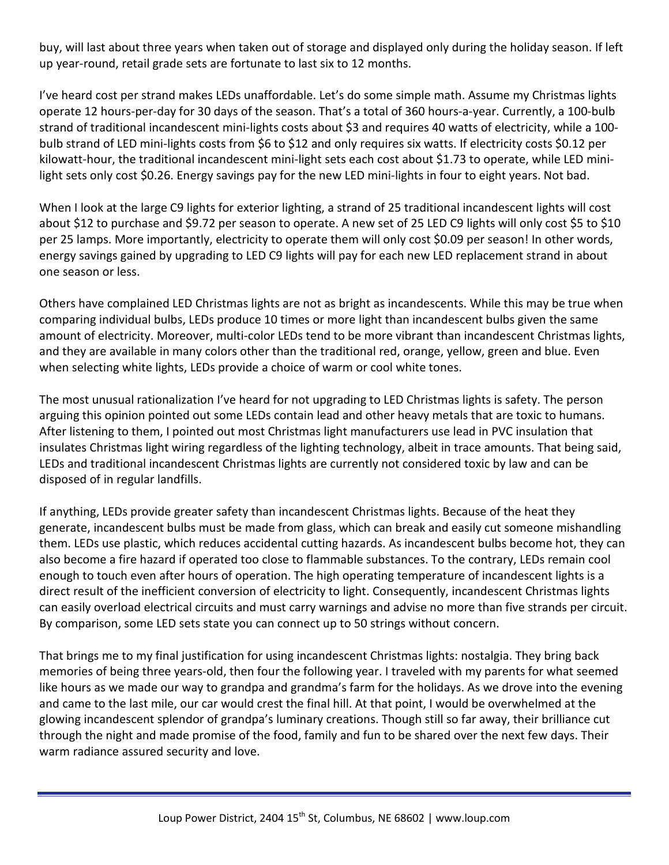buy, will last about three years when taken out of storage and displayed only during the holiday season. If left up year-round, retail grade sets are fortunate to last six to 12 months.

I've heard cost per strand makes LEDs unaffordable. Let's do some simple math. Assume my Christmas lights operate 12 hours-per-day for 30 days of the season. That's a total of 360 hours-a-year. Currently, a 100-bulb strand of traditional incandescent mini-lights costs about \$3 and requires 40 watts of electricity, while a 100 bulb strand of LED mini-lights costs from \$6 to \$12 and only requires six watts. If electricity costs \$0.12 per kilowatt-hour, the traditional incandescent mini-light sets each cost about \$1.73 to operate, while LED minilight sets only cost \$0.26. Energy savings pay for the new LED mini-lights in four to eight years. Not bad.

When I look at the large C9 lights for exterior lighting, a strand of 25 traditional incandescent lights will cost about \$12 to purchase and \$9.72 per season to operate. A new set of 25 LED C9 lights will only cost \$5 to \$10 per 25 lamps. More importantly, electricity to operate them will only cost \$0.09 per season! In other words, energy savings gained by upgrading to LED C9 lights will pay for each new LED replacement strand in about one season or less.

Others have complained LED Christmas lights are not as bright as incandescents. While this may be true when comparing individual bulbs, LEDs produce 10 times or more light than incandescent bulbs given the same amount of electricity. Moreover, multi-color LEDs tend to be more vibrant than incandescent Christmas lights, and they are available in many colors other than the traditional red, orange, yellow, green and blue. Even when selecting white lights, LEDs provide a choice of warm or cool white tones.

The most unusual rationalization I've heard for not upgrading to LED Christmas lights is safety. The person arguing this opinion pointed out some LEDs contain lead and other heavy metals that are toxic to humans. After listening to them, I pointed out most Christmas light manufacturers use lead in PVC insulation that insulates Christmas light wiring regardless of the lighting technology, albeit in trace amounts. That being said, LEDs and traditional incandescent Christmas lights are currently not considered toxic by law and can be disposed of in regular landfills.

If anything, LEDs provide greater safety than incandescent Christmas lights. Because of the heat they generate, incandescent bulbs must be made from glass, which can break and easily cut someone mishandling them. LEDs use plastic, which reduces accidental cutting hazards. As incandescent bulbs become hot, they can also become a fire hazard if operated too close to flammable substances. To the contrary, LEDs remain cool enough to touch even after hours of operation. The high operating temperature of incandescent lights is a direct result of the inefficient conversion of electricity to light. Consequently, incandescent Christmas lights can easily overload electrical circuits and must carry warnings and advise no more than five strands per circuit. By comparison, some LED sets state you can connect up to 50 strings without concern.

That brings me to my final justification for using incandescent Christmas lights: nostalgia. They bring back memories of being three years-old, then four the following year. I traveled with my parents for what seemed like hours as we made our way to grandpa and grandma's farm for the holidays. As we drove into the evening and came to the last mile, our car would crest the final hill. At that point, I would be overwhelmed at the glowing incandescent splendor of grandpa's luminary creations. Though still so far away, their brilliance cut through the night and made promise of the food, family and fun to be shared over the next few days. Their warm radiance assured security and love.